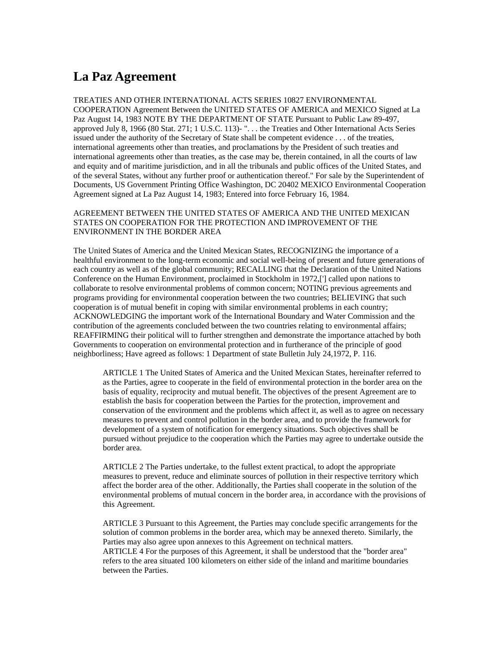# **La Paz Agreement**

TREATIES AND OTHER INTERNATIONAL ACTS SERIES 10827 ENVIRONMENTAL COOPERATION Agreement Between the UNITED STATES OF AMERICA and MEXICO Signed at La Paz August 14, 1983 NOTE BY THE DEPARTMENT OF STATE Pursuant to Public Law 89-497, approved July 8, 1966 (80 Stat. 271; 1 U.S.C. 113)- ". . . the Treaties and Other International Acts Series issued under the authority of the Secretary of State shall be competent evidence . . . of the treaties, international agreements other than treaties, and proclamations by the President of such treaties and international agreements other than treaties, as the case may be, therein contained, in all the courts of law and equity and of maritime jurisdiction, and in all the tribunals and public offices of the United States, and of the several States, without any further proof or authentication thereof." For sale by the Superintendent of Documents, US Government Printing Office Washington, DC 20402 MEXICO Environmental Cooperation Agreement signed at La Paz August 14, 1983; Entered into force February 16, 1984.

AGREEMENT BETWEEN THE UNITED STATES OF AMERICA AND THE UNITED MEXICAN STATES ON COOPERATION FOR THE PROTECTION AND IMPROVEMENT OF THE ENVIRONMENT IN THE BORDER AREA

The United States of America and the United Mexican States, RECOGNIZING the importance of a healthful environment to the long-term economic and social well-being of present and future generations of each country as well as of the global community; RECALLING that the Declaration of the United Nations Conference on the Human Environment, proclaimed in Stockholm in 1972,['] called upon nations to collaborate to resolve environmental problems of common concern; NOTING previous agreements and programs providing for environmental cooperation between the two countries; BELIEVING that such cooperation is of mutual benefit in coping with similar environmental problems in each country; ACKNOWLEDGING the important work of the International Boundary and Water Commission and the contribution of the agreements concluded between the two countries relating to environmental affairs; REAFFIRMING their political will to further strengthen and demonstrate the importance attached by both Governments to cooperation on environmental protection and in furtherance of the principle of good neighborliness; Have agreed as follows: 1 Department of state Bulletin July 24,1972, P. 116.

ARTICLE 1 The United States of America and the United Mexican States, hereinafter referred to as the Parties, agree to cooperate in the field of environmental protection in the border area on the basis of equality, reciprocity and mutual benefit. The objectives of the present Agreement are to establish the basis for cooperation between the Parties for the protection, improvement and conservation of the environment and the problems which affect it, as well as to agree on necessary measures to prevent and control pollution in the border area, and to provide the framework for development of a system of notification for emergency situations. Such objectives shall be pursued without prejudice to the cooperation which the Parties may agree to undertake outside the border area.

ARTICLE 2 The Parties undertake, to the fullest extent practical, to adopt the appropriate measures to prevent, reduce and eliminate sources of pollution in their respective territory which affect the border area of the other. Additionally, the Parties shall cooperate in the solution of the environmental problems of mutual concern in the border area, in accordance with the provisions of this Agreement.

ARTICLE 3 Pursuant to this Agreement, the Parties may conclude specific arrangements for the solution of common problems in the border area, which may be annexed thereto. Similarly, the Parties may also agree upon annexes to this Agreement on technical matters. ARTICLE 4 For the purposes of this Agreement, it shall be understood that the "border area" refers to the area situated 100 kilometers on either side of the inland and maritime boundaries between the Parties.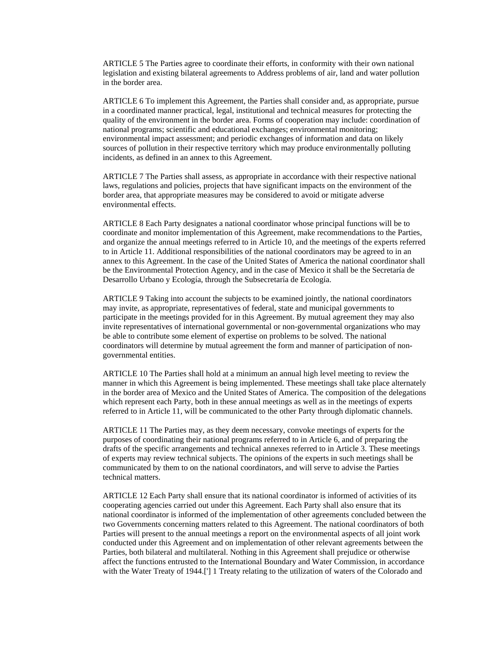ARTICLE 5 The Parties agree to coordinate their efforts, in conformity with their own national legislation and existing bilateral agreements to Address problems of air, land and water pollution in the border area.

ARTICLE 6 To implement this Agreement, the Parties shall consider and, as appropriate, pursue in a coordinated manner practical, legal, institutional and technical measures for protecting the quality of the environment in the border area. Forms of cooperation may include: coordination of national programs; scientific and educational exchanges; environmental monitoring; environmental impact assessment; and periodic exchanges of information and data on likely sources of pollution in their respective territory which may produce environmentally polluting incidents, as defined in an annex to this Agreement.

ARTICLE 7 The Parties shall assess, as appropriate in accordance with their respective national laws, regulations and policies, projects that have significant impacts on the environment of the border area, that appropriate measures may be considered to avoid or mitigate adverse environmental effects.

ARTICLE 8 Each Party designates a national coordinator whose principal functions will be to coordinate and monitor implementation of this Agreement, make recommendations to the Parties, and organize the annual meetings referred to in Article 10, and the meetings of the experts referred to in Article 11. Additional responsibilities of the national coordinators may be agreed to in an annex to this Agreement. In the case of the United States of America the national coordinator shall be the Environmental Protection Agency, and in the case of Mexico it shall be the Secretaría de Desarrollo Urbano y Ecología, through the Subsecretaría de Ecología.

ARTICLE 9 Taking into account the subjects to be examined jointly, the national coordinators may invite, as appropriate, representatives of federal, state and municipal governments to participate in the meetings provided for in this Agreement. By mutual agreement they may also invite representatives of international governmental or non-governmental organizations who may be able to contribute some element of expertise on problems to be solved. The national coordinators will determine by mutual agreement the form and manner of participation of nongovernmental entities.

ARTICLE 10 The Parties shall hold at a minimum an annual high level meeting to review the manner in which this Agreement is being implemented. These meetings shall take place alternately in the border area of Mexico and the United States of America. The composition of the delegations which represent each Party, both in these annual meetings as well as in the meetings of experts referred to in Article 11, will be communicated to the other Party through diplomatic channels.

ARTICLE 11 The Parties may, as they deem necessary, convoke meetings of experts for the purposes of coordinating their national programs referred to in Article 6, and of preparing the drafts of the specific arrangements and technical annexes referred to in Article 3. These meetings of experts may review technical subjects. The opinions of the experts in such meetings shall be communicated by them to on the national coordinators, and will serve to advise the Parties technical matters.

ARTICLE 12 Each Party shall ensure that its national coordinator is informed of activities of its cooperating agencies carried out under this Agreement. Each Party shall also ensure that its national coordinator is informed of the implementation of other agreements concluded between the two Governments concerning matters related to this Agreement. The national coordinators of both Parties will present to the annual meetings a report on the environmental aspects of all joint work conducted under this Agreement and on implementation of other relevant agreements between the Parties, both bilateral and multilateral. Nothing in this Agreement shall prejudice or otherwise affect the functions entrusted to the International Boundary and Water Commission, in accordance with the Water Treaty of 1944.<sup>['</sup>] 1 Treaty relating to the utilization of waters of the Colorado and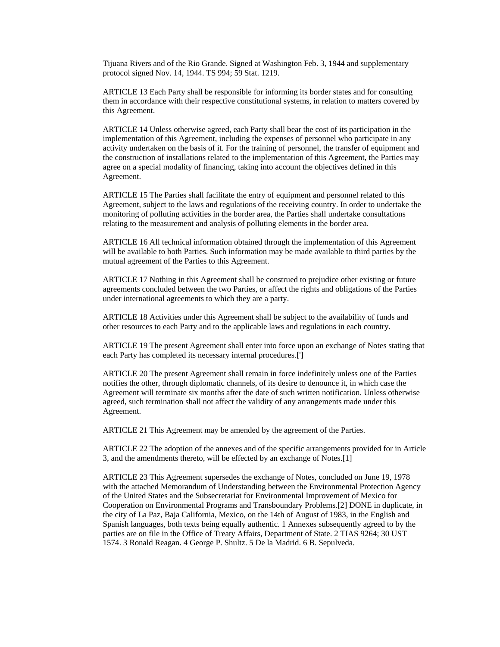Tijuana Rivers and of the Rio Grande. Signed at Washington Feb. 3, 1944 and supplementary protocol signed Nov. 14, 1944. TS 994; 59 Stat. 1219.

ARTICLE 13 Each Party shall be responsible for informing its border states and for consulting them in accordance with their respective constitutional systems, in relation to matters covered by this Agreement.

ARTICLE 14 Unless otherwise agreed, each Party shall bear the cost of its participation in the implementation of this Agreement, including the expenses of personnel who participate in any activity undertaken on the basis of it. For the training of personnel, the transfer of equipment and the construction of installations related to the implementation of this Agreement, the Parties may agree on a special modality of financing, taking into account the objectives defined in this Agreement.

ARTICLE 15 The Parties shall facilitate the entry of equipment and personnel related to this Agreement, subject to the laws and regulations of the receiving country. In order to undertake the monitoring of polluting activities in the border area, the Parties shall undertake consultations relating to the measurement and analysis of polluting elements in the border area.

ARTICLE 16 All technical information obtained through the implementation of this Agreement will be available to both Parties. Such information may be made available to third parties by the mutual agreement of the Parties to this Agreement.

ARTICLE 17 Nothing in this Agreement shall be construed to prejudice other existing or future agreements concluded between the two Parties, or affect the rights and obligations of the Parties under international agreements to which they are a party.

ARTICLE 18 Activities under this Agreement shall be subject to the availability of funds and other resources to each Party and to the applicable laws and regulations in each country.

ARTICLE 19 The present Agreement shall enter into force upon an exchange of Notes stating that each Party has completed its necessary internal procedures.[']

ARTICLE 20 The present Agreement shall remain in force indefinitely unless one of the Parties notifies the other, through diplomatic channels, of its desire to denounce it, in which case the Agreement will terminate six months after the date of such written notification. Unless otherwise agreed, such termination shall not affect the validity of any arrangements made under this Agreement.

ARTICLE 21 This Agreement may be amended by the agreement of the Parties.

ARTICLE 22 The adoption of the annexes and of the specific arrangements provided for in Article 3, and the amendments thereto, will be effected by an exchange of Notes.[1]

ARTICLE 23 This Agreement supersedes the exchange of Notes, concluded on June 19, 1978 with the attached Memorandum of Understanding between the Environmental Protection Agency of the United States and the Subsecretariat for Environmental Improvement of Mexico for Cooperation on Environmental Programs and Transboundary Problems.[2] DONE in duplicate, in the city of La Paz, Baja California, Mexico, on the 14th of August of 1983, in the English and Spanish languages, both texts being equally authentic. 1 Annexes subsequently agreed to by the parties are on file in the Office of Treaty Affairs, Department of State. 2 TIAS 9264; 30 UST 1574. 3 Ronald Reagan. 4 George P. Shultz. 5 De la Madrid. 6 B. Sepulveda.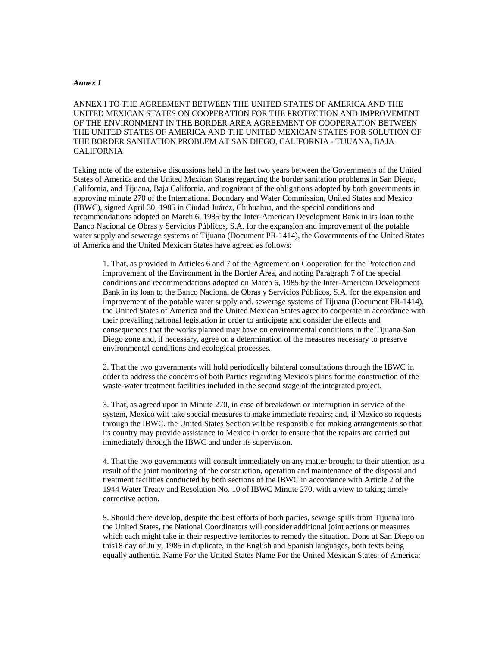#### *Annex I*

ANNEX I TO THE AGREEMENT BETWEEN THE UNITED STATES OF AMERICA AND THE UNITED MEXICAN STATES ON COOPERATION FOR THE PROTECTION AND IMPROVEMENT OF THE ENVIRONMENT IN THE BORDER AREA AGREEMENT OF COOPERATION BETWEEN THE UNITED STATES OF AMERICA AND THE UNITED MEXICAN STATES FOR SOLUTION OF THE BORDER SANITATION PROBLEM AT SAN DIEGO, CALIFORNIA - TIJUANA, BAJA CALIFORNIA

Taking note of the extensive discussions held in the last two years between the Governments of the United States of America and the United Mexican States regarding the border sanitation problems in San Diego, California, and Tijuana, Baja California, and cognizant of the obligations adopted by both governments in approving minute 270 of the International Boundary and Water Commission, United States and Mexico (IBWC), signed April 30, 1985 in Ciudad Juárez, Chihuahua, and the special conditions and recommendations adopted on March 6, 1985 by the Inter-American Development Bank in its loan to the Banco Nacional de Obras y Servicios Públicos, S.A. for the expansion and improvement of the potable water supply and sewerage systems of Tijuana (Document PR-1414), the Governments of the United States of America and the United Mexican States have agreed as follows:

1. That, as provided in Articles 6 and 7 of the Agreement on Cooperation for the Protection and improvement of the Environment in the Border Area, and noting Paragraph 7 of the special conditions and recommendations adopted on March 6, 1985 by the Inter-American Development Bank in its loan to the Banco Nacional de Obras y Servicios Públicos, S.A. for the expansion and improvement of the potable water supply and. sewerage systems of Tijuana (Document PR-1414), the United States of America and the United Mexican States agree to cooperate in accordance with their prevailing national legislation in order to anticipate and consider the effects and consequences that the works planned may have on environmental conditions in the Tijuana-San Diego zone and, if necessary, agree on a determination of the measures necessary to preserve environmental conditions and ecological processes.

2. That the two governments will hold periodically bilateral consultations through the IBWC in order to address the concerns of both Parties regarding Mexico's plans for the construction of the waste-water treatment facilities included in the second stage of the integrated project.

3. That, as agreed upon in Minute 270, in case of breakdown or interruption in service of the system, Mexico wilt take special measures to make immediate repairs; and, if Mexico so requests through the IBWC, the United States Section wilt be responsible for making arrangements so that its country may provide assistance to Mexico in order to ensure that the repairs are carried out immediately through the IBWC and under its supervision.

4. That the two governments will consult immediately on any matter brought to their attention as a result of the joint monitoring of the construction, operation and maintenance of the disposal and treatment facilities conducted by both sections of the IBWC in accordance with Article 2 of the 1944 Water Treaty and Resolution No. 10 of IBWC Minute 270, with a view to taking timely corrective action.

5. Should there develop, despite the best efforts of both parties, sewage spills from Tijuana into the United States, the National Coordinators will consider additional joint actions or measures which each might take in their respective territories to remedy the situation. Done at San Diego on this18 day of July, 1985 in duplicate, in the English and Spanish languages, both texts being equally authentic. Name For the United States Name For the United Mexican States: of America: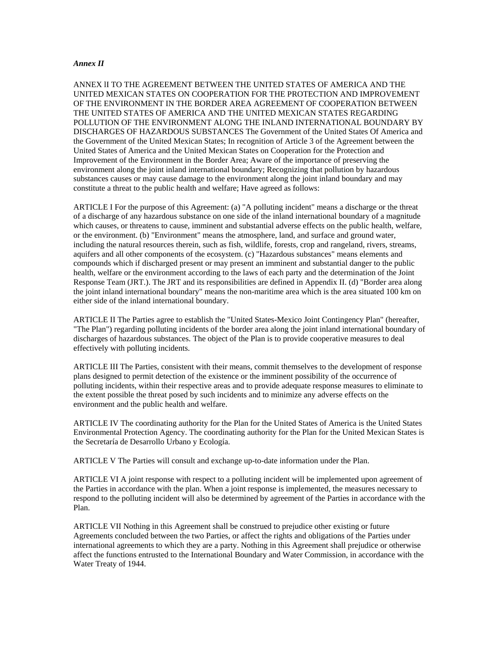## *Annex II*

ANNEX lI TO THE AGREEMENT BETWEEN THE UNITED STATES OF AMERICA AND THE UNITED MEXICAN STATES ON COOPERATION FOR THE PROTECTION AND IMPROVEMENT OF THE ENVIRONMENT IN THE BORDER AREA AGREEMENT OF COOPERATION BETWEEN THE UNITED STATES OF AMERICA AND THE UNITED MEXICAN STATES REGARDING POLLUTION OF THE ENVIRONMENT ALONG THE INLAND INTERNATIONAL BOUNDARY BY DISCHARGES OF HAZARDOUS SUBSTANCES The Government of the United States Of America and the Government of the United Mexican States; In recognition of Article 3 of the Agreement between the United States of America and the United Mexican States on Cooperation for the Protection and Improvement of the Environment in the Border Area; Aware of the importance of preserving the environment along the joint inland international boundary; Recognizing that pollution by hazardous substances causes or may cause damage to the environment along the joint inland boundary and may constitute a threat to the public health and welfare; Have agreed as follows:

ARTICLE I For the purpose of this Agreement: (a) "A polluting incident" means a discharge or the threat of a discharge of any hazardous substance on one side of the inland international boundary of a magnitude which causes, or threatens to cause, imminent and substantial adverse effects on the public health, welfare, or the environment. (b) "Environment" means the atmosphere, land, and surface and ground water, including the natural resources therein, such as fish, wildlife, forests, crop and rangeland, rivers, streams, aquifers and all other components of the ecosystem. (c) "Hazardous substances" means elements and compounds which if discharged present or may present an imminent and substantial danger to the public health, welfare or the environment according to the laws of each party and the determination of the Joint Response Team (JRT.). The JRT and its responsibilities are defined in Appendix II. (d) "Border area along the joint inland international boundary" means the non-maritime area which is the area situated 100 km on either side of the inland international boundary.

ARTICLE II The Parties agree to establish the "United States-Mexico Joint Contingency Plan" (hereafter, "The Plan") regarding polluting incidents of the border area along the joint inland international boundary of discharges of hazardous substances. The object of the Plan is to provide cooperative measures to deal effectively with polluting incidents.

ARTICLE III The Parties, consistent with their means, commit themselves to the development of response plans designed to permit detection of the existence or the imminent possibility of the occurrence of polluting incidents, within their respective areas and to provide adequate response measures to eliminate to the extent possible the threat posed by such incidents and to minimize any adverse effects on the environment and the public health and welfare.

ARTICLE IV The coordinating authority for the Plan for the United States of America is the United States Environmental Protection Agency. The coordinating authority for the Plan for the United Mexican States is the Secretaría de Desarrollo Urbano y Ecología.

ARTICLE V The Parties will consult and exchange up-to-date information under the Plan.

ARTICLE VI A joint response with respect to a polluting incident will be implemented upon agreement of the Parties in accordance with the plan. When a joint response is implemented, the measures necessary to respond to the polluting incident will also be determined by agreement of the Parties in accordance with the Plan.

ARTICLE VII Nothing in this Agreement shall be construed to prejudice other existing or future Agreements concluded between the two Parties, or affect the rights and obligations of the Parties under international agreements to which they are a party. Nothing in this Agreement shall prejudice or otherwise affect the functions entrusted to the International Boundary and Water Commission, in accordance with the Water Treaty of 1944.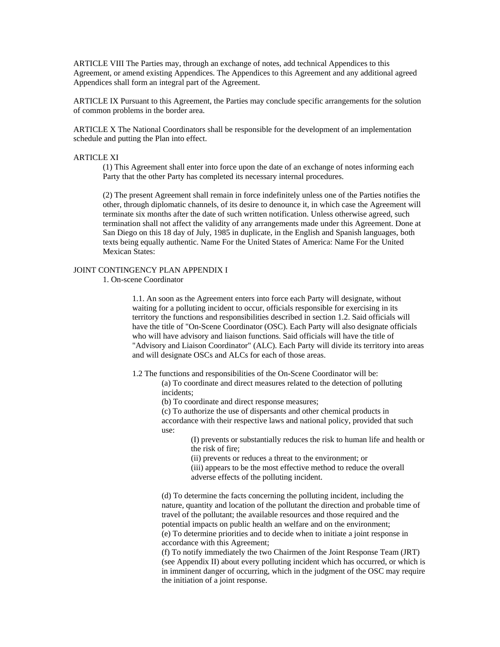ARTICLE VIII The Parties may, through an exchange of notes, add technical Appendices to this Agreement, or amend existing Appendices. The Appendices to this Agreement and any additional agreed Appendices shall form an integral part of the Agreement.

ARTICLE IX Pursuant to this Agreement, the Parties may conclude specific arrangements for the solution of common problems in the border area.

ARTICLE X The National Coordinators shall be responsible for the development of an implementation schedule and putting the Plan into effect.

## ARTICLE XI

(1) This Agreement shall enter into force upon the date of an exchange of notes informing each Party that the other Party has completed its necessary internal procedures.

(2) The present Agreement shall remain in force indefinitely unless one of the Parties notifies the other, through diplomatic channels, of its desire to denounce it, in which case the Agreement will terminate six months after the date of such written notification. Unless otherwise agreed, such termination shall not affect the validity of any arrangements made under this Agreement. Done at San Diego on this 18 day of July, 1985 in duplicate, in the English and Spanish languages, both texts being equally authentic. Name For the United States of America: Name For the United Mexican States:

# JOINT CONTINGENCY PLAN APPENDIX I

1. On-scene Coordinator

1.1. An soon as the Agreement enters into force each Party will designate, without waiting for a polluting incident to occur, officials responsible for exercising in its territory the functions and responsibilities described in section 1.2. Said officials will have the title of "On-Scene Coordinator (OSC). Each Party will also designate officials who will have advisory and liaison functions. Said officials will have the title of "Advisory and Liaison Coordinator" (ALC). Each Party will divide its territory into areas and will designate OSCs and ALCs for each of those areas.

1.2 The functions and responsibilities of the On-Scene Coordinator will be:

(a) To coordinate and direct measures related to the detection of polluting incidents;

(b) To coordinate and direct response measures;

(c) To authorize the use of dispersants and other chemical products in accordance with their respective laws and national policy, provided that such use:

> (I) prevents or substantially reduces the risk to human life and health or the risk of fire;

(ii) prevents or reduces a threat to the environment; or

(iii) appears to be the most effective method to reduce the overall adverse effects of the polluting incident.

(d) To determine the facts concerning the polluting incident, including the nature, quantity and location of the pollutant the direction and probable time of travel of the pollutant; the available resources and those required and the potential impacts on public health an welfare and on the environment; (e) To determine priorities and to decide when to initiate a joint response in accordance with this Agreement;

(f) To notify immediately the two Chairmen of the Joint Response Team (JRT) (see Appendix II) about every polluting incident which has occurred, or which is in imminent danger of occurring, which in the judgment of the OSC may require the initiation of a joint response.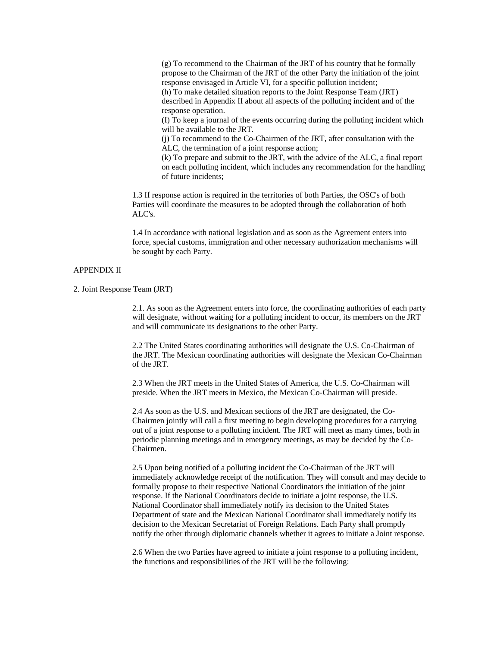(g) To recommend to the Chairman of the JRT of his country that he formally propose to the Chairman of the JRT of the other Party the initiation of the joint response envisaged in Article VI, for a specific pollution incident;

(h) To make detailed situation reports to the Joint Response Team (JRT) described in Appendix II about all aspects of the polluting incident and of the response operation.

(I) To keep a journal of the events occurring during the polluting incident which will be available to the JRT.

(j) To recommend to the Co-Chairmen of the JRT, after consultation with the ALC, the termination of a joint response action;

(k) To prepare and submit to the JRT, with the advice of the ALC, a final report on each polluting incident, which includes any recommendation for the handling of future incidents;

1.3 If response action is required in the territories of both Parties, the OSC's of both Parties will coordinate the measures to be adopted through the collaboration of both ALC's.

1.4 In accordance with national legislation and as soon as the Agreement enters into force, special customs, immigration and other necessary authorization mechanisms will be sought by each Party.

# APPENDIX II

2. Joint Response Team (JRT)

2.1. As soon as the Agreement enters into force, the coordinating authorities of each party will designate, without waiting for a polluting incident to occur, its members on the JRT and will communicate its designations to the other Party.

2.2 The United States coordinating authorities will designate the U.S. Co-Chairman of the JRT. The Mexican coordinating authorities will designate the Mexican Co-Chairman of the JRT.

2.3 When the JRT meets in the United States of America, the U.S. Co-Chairman will preside. When the JRT meets in Mexico, the Mexican Co-Chairman will preside.

2.4 As soon as the U.S. and Mexican sections of the JRT are designated, the Co-Chairmen jointly will call a first meeting to begin developing procedures for a carrying out of a joint response to a polluting incident. The JRT will meet as many times, both in periodic planning meetings and in emergency meetings, as may be decided by the Co-Chairmen.

2.5 Upon being notified of a polluting incident the Co-Chairman of the JRT will immediately acknowledge receipt of the notification. They will consult and may decide to formally propose to their respective National Coordinators the initiation of the joint response. If the National Coordinators decide to initiate a joint response, the U.S. National Coordinator shall immediately notify its decision to the United States Department of state and the Mexican National Coordinator shall immediately notify its decision to the Mexican Secretariat of Foreign Relations. Each Party shall promptly notify the other through diplomatic channels whether it agrees to initiate a Joint response.

2.6 When the two Parties have agreed to initiate a joint response to a polluting incident, the functions and responsibilities of the JRT will be the following: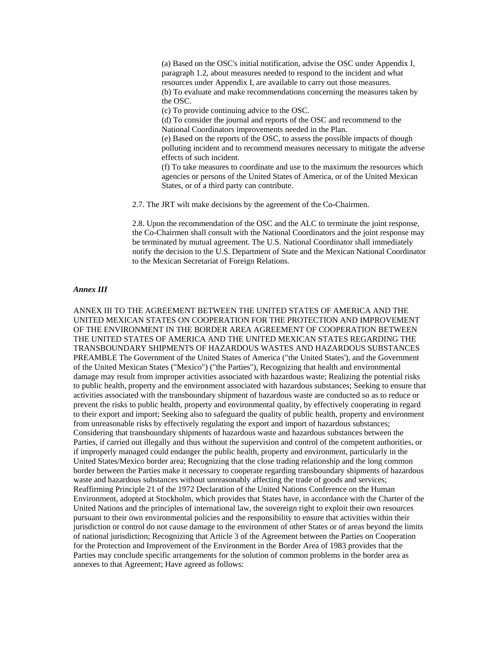(a) Based on the OSC's initial notification, advise the OSC under Appendix I, paragraph 1.2, about measures needed to respond to the incident and what resources under Appendix I, are available to carry out those measures. (b) To evaluate and make recommendations concerning the measures taken by the OSC.

(c) To provide continuing advice to the OSC.

(d) To consider the journal and reports of the OSC and recommend to the National Coordinators improvements needed in the Plan.

(e) Based on the reports of the OSC, to assess the possible impacts of though polluting incident and to recommend measures necessary to mitigate the adverse effects of such incident.

(f) To take measures to coordinate and use to the maximum the resources which agencies or persons of the United States of America, or of the United Mexican States, or of a third party can contribute.

2.7. The JRT wilt make decisions by the agreement of the Co-Chairmen.

2.8. Upon the recommendation of the OSC and the ALC to terminate the joint response, the Co-Chairmen shall consult with the National Coordinators and the joint response may be terminated by mutual agreement. The U.S. National Coordinator shall immediately notify the decision to the U.S. Department of State and the Mexican National Coordinator to the Mexican Secretariat of Foreign Relations.

#### *Annex III*

ANNEX III TO THE AGREEMENT BETWEEN THE UNITED STATES OF AMERICA AND THE UNITED MEXICAN STATES ON COOPERATION FOR THE PROTECTION AND IMPROVEMENT OF THE ENVIRONMENT IN THE BORDER AREA AGREEMENT OF COOPERATION BETWEEN THE UNITED STATES OF AMERICA AND THE UNITED MEXICAN STATES REGARDING THE TRANSBOUNDARY SHIPMENTS OF HAZARDOUS WASTES AND HAZARDOUS SUBSTANCES PREAMBLE The Government of the United States of America ("the United States'), and the Government of the United Mexican States ("Mexico") ("the Parties"), Recognizing that health and environmental damage may result from improper activities associated with hazardous waste; Realizing the potential risks to public health, property and the environment associated with hazardous substances; Seeking to ensure that activities associated with the transboundary shipment of hazardous waste are conducted so as to reduce or prevent the risks to public health, property and environmental quality, by effectively cooperating in regard to their export and import; Seeking also to safeguard the quality of public health, property and environment from unreasonable risks by effectively regulating the export and import of hazardous substances; Considering that transboundary shipments of hazardous waste and hazardous substances between the Parties, if carried out illegally and thus without the supervision and control of the competent authorities, or if improperly managed could endanger the public health, property and environment, particularly in the United States/Mexico border area; Recognizing that the close trading relationship and the long common border between the Parties make it necessary to cooperate regarding transboundary shipments of hazardous waste and hazardous substances without unreasonably affecting the trade of goods and services; Reaffirming Principle 21 of the 1972 Declaration of the United Nations Conference on the Human Environment, adopted at Stockholm, which provides that States have, in accordance with the Charter of the United Nations and the principles of international law, the sovereign right to exploit their own resources pursuant to their own environmental policies and the responsibility to ensure that activities within their jurisdiction or control do not cause damage to the environment of other States or of areas beyond the limits of national jurisdiction; Recognizing that Article 3 of the Agreement between the Parties on Cooperation for the Protection and Improvement of the Environment in the Border Area of 1983 provides that the Parties may conclude specific arrangements for the solution of common problems in the border area as annexes to that Agreement; Have agreed as follows: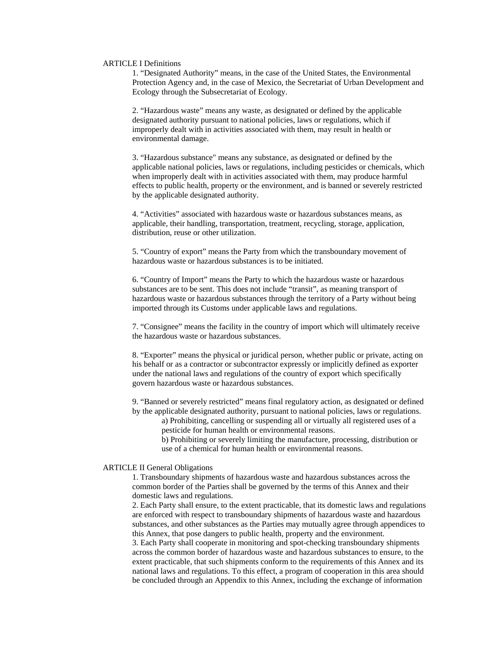## ARTICLE I Definitions

1. "Designated Authority" means, in the case of the United States, the Environmental Protection Agency and, in the case of Mexico, the Secretariat of Urban Development and Ecology through the Subsecretariat of Ecology.

2. "Hazardous waste" means any waste, as designated or defined by the applicable designated authority pursuant to national policies, laws or regulations, which if improperly dealt with in activities associated with them, may result in health or environmental damage.

3. "Hazardous substance" means any substance, as designated or defined by the applicable national policies, laws or regulations, including pesticides or chemicals, which when improperly dealt with in activities associated with them, may produce harmful effects to public health, property or the environment, and is banned or severely restricted by the applicable designated authority.

4. "Activities" associated with hazardous waste or hazardous substances means, as applicable, their handling, transportation, treatment, recycling, storage, application, distribution, reuse or other utilization.

5. "Country of export" means the Party from which the transboundary movement of hazardous waste or hazardous substances is to be initiated.

6. "Country of Import" means the Party to which the hazardous waste or hazardous substances are to be sent. This does not include "transit", as meaning transport of hazardous waste or hazardous substances through the territory of a Party without being imported through its Customs under applicable laws and regulations.

7. "Consignee" means the facility in the country of import which will ultimately receive the hazardous waste or hazardous substances.

8. "Exporter" means the physical or juridical person, whether public or private, acting on his behalf or as a contractor or subcontractor expressly or implicitly defined as exporter under the national laws and regulations of the country of export which specifically govern hazardous waste or hazardous substances.

9. "Banned or severely restricted" means final regulatory action, as designated or defined by the applicable designated authority, pursuant to national policies, laws or regulations.

a) Prohibiting, cancelling or suspending all or virtually all registered uses of a pesticide for human health or environmental reasons.

b) Prohibiting or severely limiting the manufacture, processing, distribution or use of a chemical for human health or environmental reasons.

#### ARTICLE II General Obligations

1. Transboundary shipments of hazardous waste and hazardous substances across the common border of the Parties shall be governed by the terms of this Annex and their domestic laws and regulations.

2. Each Party shall ensure, to the extent practicable, that its domestic laws and regulations are enforced with respect to transboundary shipments of hazardous waste and hazardous substances, and other substances as the Parties may mutually agree through appendices to this Annex, that pose dangers to public health, property and the environment.

3. Each Party shall cooperate in monitoring and spot-checking transboundary shipments across the common border of hazardous waste and hazardous substances to ensure, to the extent practicable, that such shipments conform to the requirements of this Annex and its national laws and regulations. To this effect, a program of cooperation in this area should be concluded through an Appendix to this Annex, including the exchange of information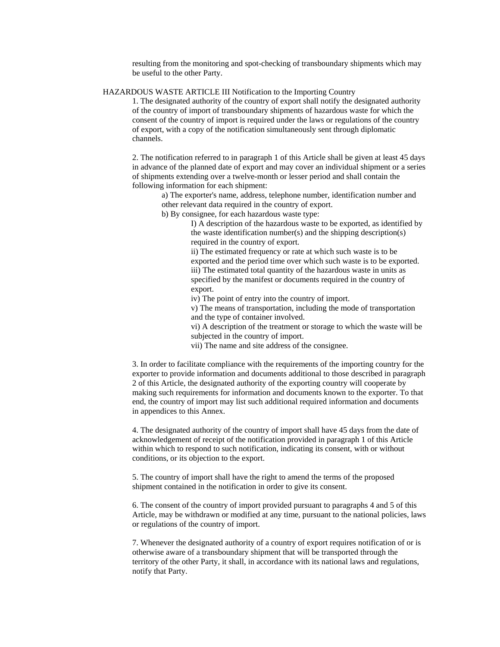resulting from the monitoring and spot-checking of transboundary shipments which may be useful to the other Party.

HAZARDOUS WASTE ARTICLE III Notification to the Importing Country

1. The designated authority of the country of export shall notify the designated authority of the country of import of transboundary shipments of hazardous waste for which the consent of the country of import is required under the laws or regulations of the country of export, with a copy of the notification simultaneously sent through diplomatic channels.

2. The notification referred to in paragraph 1 of this Article shall be given at least 45 days in advance of the planned date of export and may cover an individual shipment or a series of shipments extending over a twelve-month or lesser period and shall contain the following information for each shipment:

a) The exporter's name, address, telephone number, identification number and other relevant data required in the country of export.

b) By consignee, for each hazardous waste type:

I) A description of the hazardous waste to be exported, as identified by the waste identification number(s) and the shipping description(s) required in the country of export.

ii) The estimated frequency or rate at which such waste is to be exported and the period time over which such waste is to be exported. iii) The estimated total quantity of the hazardous waste in units as specified by the manifest or documents required in the country of export.

iv) The point of entry into the country of import.

v) The means of transportation, including the mode of transportation and the type of container involved.

vi) A description of the treatment or storage to which the waste will be subjected in the country of import.

vii) The name and site address of the consignee.

3. In order to facilitate compliance with the requirements of the importing country for the exporter to provide information and documents additional to those described in paragraph 2 of this Article, the designated authority of the exporting country will cooperate by making such requirements for information and documents known to the exporter. To that end, the country of import may list such additional required information and documents in appendices to this Annex.

4. The designated authority of the country of import shall have 45 days from the date of acknowledgement of receipt of the notification provided in paragraph 1 of this Article within which to respond to such notification, indicating its consent, with or without conditions, or its objection to the export.

5. The country of import shall have the right to amend the terms of the proposed shipment contained in the notification in order to give its consent.

6. The consent of the country of import provided pursuant to paragraphs 4 and 5 of this Article, may be withdrawn or modified at any time, pursuant to the national policies, laws or regulations of the country of import.

7. Whenever the designated authority of a country of export requires notification of or is otherwise aware of a transboundary shipment that will be transported through the territory of the other Party, it shall, in accordance with its national laws and regulations, notify that Party.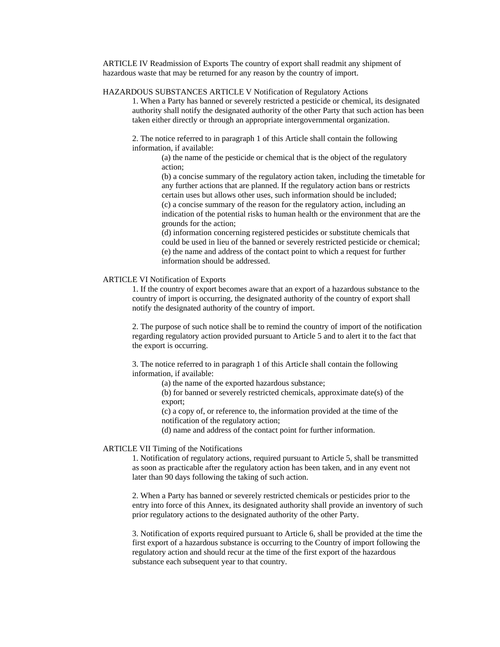ARTICLE IV Readmission of Exports The country of export shall readmit any shipment of hazardous waste that may be returned for any reason by the country of import.

## HAZARDOUS SUBSTANCES ARTICLE V Notification of Regulatory Actions

1. When a Party has banned or severely restricted a pesticide or chemical, its designated authority shall notify the designated authority of the other Party that such action has been taken either directly or through an appropriate intergovernmental organization.

2. The notice referred to in paragraph 1 of this Article shall contain the following information, if available:

> (a) the name of the pesticide or chemical that is the object of the regulatory action;

(b) a concise summary of the regulatory action taken, including the timetable for any further actions that are planned. If the regulatory action bans or restricts certain uses but allows other uses, such information should be included; (c) a concise summary of the reason for the regulatory action, including an indication of the potential risks to human health or the environment that are the grounds for the action;

(d) information concerning registered pesticides or substitute chemicals that could be used in lieu of the banned or severely restricted pesticide or chemical; (e) the name and address of the contact point to which a request for further information should be addressed.

#### ARTICLE VI Notification of Exports

1. If the country of export becomes aware that an export of a hazardous substance to the country of import is occurring, the designated authority of the country of export shall notify the designated authority of the country of import.

2. The purpose of such notice shall be to remind the country of import of the notification regarding regulatory action provided pursuant to Article 5 and to alert it to the fact that the export is occurring.

3. The notice referred to in paragraph 1 of this ArticIe shall contain the following information, if available:

(a) the name of the exported hazardous substance;

(b) for banned or severely restricted chemicals, approximate date(s) of the export;

(c) a copy of, or reference to, the information provided at the time of the notification of the regulatory action;

(d) name and address of the contact point for further information.

## ARTICLE VII Timing of the Notifications

1. Notification of regulatory actions, required pursuant to Article 5, shall be transmitted as soon as practicable after the regulatory action has been taken, and in any event not later than 90 days following the taking of such action.

2. When a Party has banned or severely restricted chemicals or pesticides prior to the entry into force of this Annex, its designated authority shall provide an inventory of such prior regulatory actions to the designated authority of the other Party.

3. Notification of exports required pursuant to Article 6, shall be provided at the time the first export of a hazardous substance is occurring to the Country of import following the regulatory action and should recur at the time of the first export of the hazardous substance each subsequent year to that country.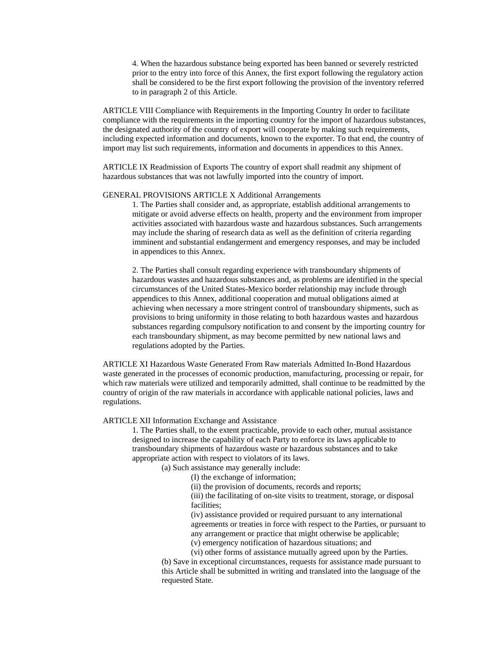4. When the hazardous substance being exported has been banned or severely restricted prior to the entry into force of this Annex, the first export following the regulatory action shall be considered to be the first export following the provision of the inventory referred to in paragraph 2 of this Article.

ARTICLE VIII Compliance with Requirements in the Importing Country In order to facilitate compliance with the requirements in the importing country for the import of hazardous substances, the designated authority of the country of export will cooperate by making such requirements, including expected information and documents, known to the exporter. To that end, the country of import may list such requirements, information and documents in appendices to this Annex.

ARTICLE IX Readmission of Exports The country of export shall readmit any shipment of hazardous substances that was not lawfully imported into the country of import.

## GENERAL PROVISIONS ARTICLE X Additional Arrangements

1. The Parties shall consider and, as appropriate, establish additional arrangements to mitigate or avoid adverse effects on health, property and the environment from improper activities associated with hazardous waste and hazardous substances. Such arrangements may include the sharing of research data as well as the definition of criteria regarding imminent and substantial endangerment and emergency responses, and may be included in appendices to this Annex.

2. The Parties shall consult regarding experience with transboundary shipments of hazardous wastes and hazardous substances and, as problems are identified in the special circumstances of the United States-Mexico border relationship may include through appendices to this Annex, additional cooperation and mutual obligations aimed at achieving when necessary a more stringent control of transboundary shipments, such as provisions to bring uniformity in those relating to both hazardous wastes and hazardous substances regarding compulsory notification to and consent by the importing country for each transboundary shipment, as may become permitted by new national laws and regulations adopted by the Parties.

ARTICLE XI Hazardous Waste Generated From Raw materials Admitted In-Bond Hazardous waste generated in the processes of economic production, manufacturing, processing or repair, for which raw materials were utilized and temporarily admitted, shall continue to be readmitted by the country of origin of the raw materials in accordance with applicable national policies, laws and regulations.

#### ARTICLE XII Information Exchange and Assistance

1. The Parties shall, to the extent practicable, provide to each other, mutual assistance designed to increase the capability of each Party to enforce its laws applicable to transboundary shipments of hazardous waste or hazardous substances and to take appropriate action with respect to violators of its laws.

(a) Such assistance may generally include:

- (I) the exchange of information;
	- (ii) the provision of documents, records and reports;

(iii) the facilitating of on-site visits to treatment, storage, or disposal facilities;

(iv) assistance provided or required pursuant to any international

agreements or treaties in force with respect to the Parties, or pursuant to

any arrangement or practice that might otherwise be applicable;

(v) emergency notification of hazardous situations; and

(vi) other forms of assistance mutually agreed upon by the Parties. (b) Save in exceptional circumstances, requests for assistance made pursuant to this Article shall be submitted in writing and translated into the language of the requested State.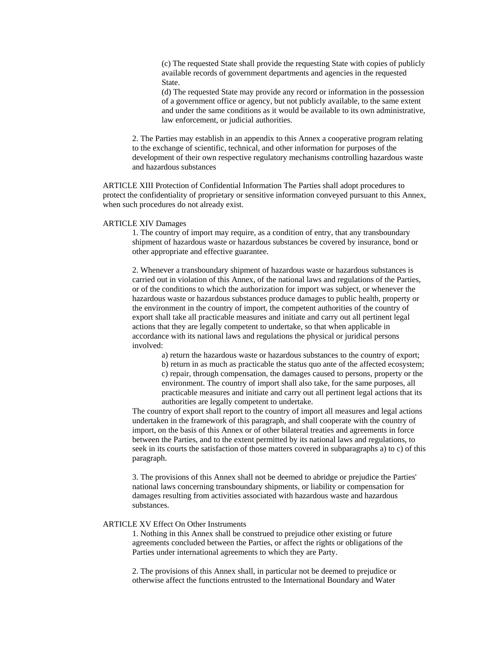(c) The requested State shall provide the requesting State with copies of publicly available records of government departments and agencies in the requested State.

(d) The requested State may provide any record or information in the possession of a government office or agency, but not publicly available, to the same extent and under the same conditions as it would be available to its own administrative, law enforcement, or judicial authorities.

2. The Parties may establish in an appendix to this Annex a cooperative program relating to the exchange of scientific, technical, and other information for purposes of the development of their own respective regulatory mechanisms controlling hazardous waste and hazardous substances

ARTICLE XIII Protection of Confidential Information The Parties shall adopt procedures to protect the confidentiality of proprietary or sensitive information conveyed pursuant to this Annex, when such procedures do not already exist.

#### ARTICLE XIV Damages

1. The country of import may require, as a condition of entry, that any transboundary shipment of hazardous waste or hazardous substances be covered by insurance, bond or other appropriate and effective guarantee.

2. Whenever a transboundary shipment of hazardous waste or hazardous substances is carried out in violation of this Annex, of the national laws and regulations of the Parties, or of the conditions to which the authorization for import was subject, or whenever the hazardous waste or hazardous substances produce damages to public health, property or the environment in the country of import, the competent authorities of the country of export shall take all practicable measures and initiate and carry out all pertinent legal actions that they are legally competent to undertake, so that when applicable in accordance with its national laws and regulations the physical or juridical persons involved:

> a) return the hazardous waste or hazardous substances to the country of export; b) return in as much as practicable the status quo ante of the affected ecosystem; c) repair, through compensation, the damages caused to persons, property or the environment. The country of import shall also take, for the same purposes, all practicable measures and initiate and carry out all pertinent legal actions that its authorities are legally competent to undertake.

The country of export shall report to the country of import all measures and legal actions undertaken in the framework of this paragraph, and shall cooperate with the country of import, on the basis of this Annex or of other bilateral treaties and agreements in force between the Parties, and to the extent permitted by its national laws and regulations, to seek in its courts the satisfaction of those matters covered in subparagraphs a) to c) of this paragraph.

3. The provisions of this Annex shall not be deemed to abridge or prejudice the Parties' national laws concerning transboundary shipments, or liability or compensation for damages resulting from activities associated with hazardous waste and hazardous substances.

#### ARTICLE XV Effect On Other Instruments

1. Nothing in this Annex shall be construed to prejudice other existing or future agreements concluded between the Parties, or affect the rights or obligations of the Parties under international agreements to which they are Party.

2. The provisions of this Annex shall, in particular not be deemed to prejudice or otherwise affect the functions entrusted to the International Boundary and Water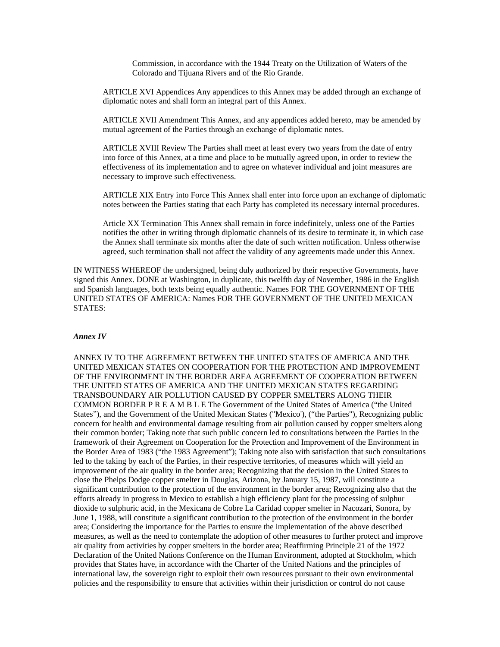Commission, in accordance with the 1944 Treaty on the Utilization of Waters of the Colorado and Tijuana Rivers and of the Rio Grande.

ARTICLE XVI Appendices Any appendices to this Annex may be added through an exchange of diplomatic notes and shall form an integral part of this Annex.

ARTICLE XVII Amendment This Annex, and any appendices added hereto, may be amended by mutual agreement of the Parties through an exchange of diplomatic notes.

ARTICLE XVIII Review The Parties shall meet at least every two years from the date of entry into force of this Annex, at a time and place to be mutually agreed upon, in order to review the effectiveness of its implementation and to agree on whatever individual and joint measures are necessary to improve such effectiveness.

ARTICLE XIX Entry into Force This Annex shall enter into force upon an exchange of diplomatic notes between the Parties stating that each Party has completed its necessary internal procedures.

Article XX Termination This Annex shall remain in force indefinitely, unless one of the Parties notifies the other in writing through diplomatic channels of its desire to terminate it, in which case the Annex shall terminate six months after the date of such written notification. Unless otherwise agreed, such termination shall not affect the validity of any agreements made under this Annex.

IN WITNESS WHEREOF the undersigned, being duly authorized by their respective Governments, have signed this Annex. DONE at Washington, in duplicate, this twelfth day of November, 1986 in the English and Spanish languages, both texts being equally authentic. Names FOR THE GOVERNMENT OF THE UNITED STATES OF AMERICA: Names FOR THE GOVERNMENT OF THE UNITED MEXICAN STATES:

#### *Annex IV*

ANNEX IV TO THE AGREEMENT BETWEEN THE UNITED STATES OF AMERICA AND THE UNITED MEXICAN STATES ON COOPERATION FOR THE PROTECTION AND IMPROVEMENT OF THE ENVIRONMENT IN THE BORDER AREA AGREEMENT OF COOPERATION BETWEEN THE UNITED STATES OF AMERICA AND THE UNITED MEXICAN STATES REGARDING TRANSBOUNDARY AIR POLLUTION CAUSED BY COPPER SMELTERS ALONG THEIR COMMON BORDER P R E A M B L E The Government of the United States of America ("the United States"), and the Government of the United Mexican States ("Mexico'), ("the Parties"), Recognizing public concern for health and environmental damage resulting from air pollution caused by copper smelters along their common border; Taking note that such public concern led to consultations between the Parties in the framework of their Agreement on Cooperation for the Protection and Improvement of the Environment in the Border Area of 1983 ("the 1983 Agreement"); Taking note also with satisfaction that such consultations led to the taking by each of the Parties, in their respective territories, of measures which will yield an improvement of the air quality in the border area; Recognizing that the decision in the United States to close the Phelps Dodge copper smelter in Douglas, Arizona, by January 15, 1987, will constitute a significant contribution to the protection of the environment in the border area; Recognizing also that the efforts already in progress in Mexico to establish a high efficiency plant for the processing of sulphur dioxide to sulphuric acid, in the Mexicana de Cobre La Caridad copper smelter in Nacozari, Sonora, by June 1, 1988, will constitute a significant contribution to the protection of the environment in the border area; Considering the importance for the Parties to ensure the implementation of the above described measures, as well as the need to contemplate the adoption of other measures to further protect and improve air quality from activities by copper smelters in the border area; Reaffirming Principle 21 of the 1972 Declaration of the United Nations Conference on the Human Environment, adopted at Stockholm, which provides that States have, in accordance with the Charter of the United Nations and the principles of international law, the sovereign right to exploit their own resources pursuant to their own environmental policies and the responsibility to ensure that activities within their jurisdiction or control do not cause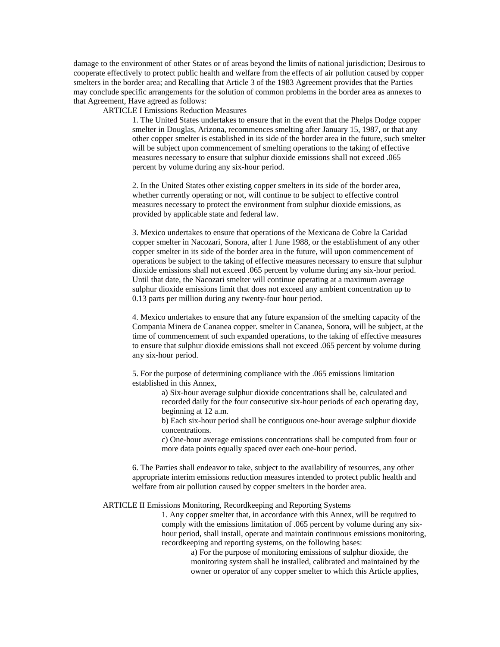damage to the environment of other States or of areas beyond the limits of national jurisdiction; Desirous to cooperate effectively to protect public health and welfare from the effects of air pollution caused by copper smelters in the border area; and Recalling that Article 3 of the 1983 Agreement provides that the Parties may conclude specific arrangements for the solution of common problems in the border area as annexes to that Agreement, Have agreed as follows:

ARTICLE I Emissions Reduction Measures

1. The United States undertakes to ensure that in the event that the Phelps Dodge copper smelter in Douglas, Arizona, recommences smelting after January 15, 1987, or that any other copper smelter is established in its side of the border area in the future, such smelter will be subject upon commencement of smelting operations to the taking of effective measures necessary to ensure that sulphur dioxide emissions shall not exceed .065 percent by volume during any six-hour period.

2. In the United States other existing copper smelters in its side of the border area, whether currently operating or not, will continue to be subject to effective control measures necessary to protect the environment from sulphur dioxide emissions, as provided by applicable state and federal law.

3. Mexico undertakes to ensure that operations of the Mexicana de Cobre la Caridad copper smelter in Nacozari, Sonora, after 1 June 1988, or the establishment of any other copper smelter in its side of the border area in the future, will upon commencement of operations be subject to the taking of effective measures necessary to ensure that sulphur dioxide emissions shall not exceed .065 percent by volume during any six-hour period. Until that date, the Nacozari smelter will continue operating at a maximum average sulphur dioxide emissions limit that does not exceed any ambient concentration up to 0.13 parts per million during any twenty-four hour period.

4. Mexico undertakes to ensure that any future expansion of the smelting capacity of the Compania Minera de Cananea copper. smelter in Cananea, Sonora, will be subject, at the time of commencement of such expanded operations, to the taking of effective measures to ensure that sulphur dioxide emissions shall not exceed .065 percent by volume during any six-hour period.

5. For the purpose of determining compliance with the .065 emissions limitation established in this Annex,

> a) Six-hour average sulphur dioxide concentrations shall be, calculated and recorded daily for the four consecutive six-hour periods of each operating day, beginning at 12 a.m.

> b) Each six-hour period shall be contiguous one-hour average sulphur dioxide concentrations.

> c) One-hour average emissions concentrations shall be computed from four or more data points equally spaced over each one-hour period.

6. The Parties shall endeavor to take, subject to the availability of resources, any other appropriate interim emissions reduction measures intended to protect public health and welfare from air pollution caused by copper smelters in the border area.

ARTICLE II Emissions Monitoring, Recordkeeping and Reporting Systems

1. Any copper smelter that, in accordance with this Annex, will be required to comply with the emissions limitation of .065 percent by volume during any sixhour period, shall install, operate and maintain continuous emissions monitoring, recordkeeping and reporting systems, on the following bases:

a) For the purpose of monitoring emissions of sulphur dioxide, the monitoring system shall he installed, calibrated and maintained by the owner or operator of any copper smelter to which this Article applies,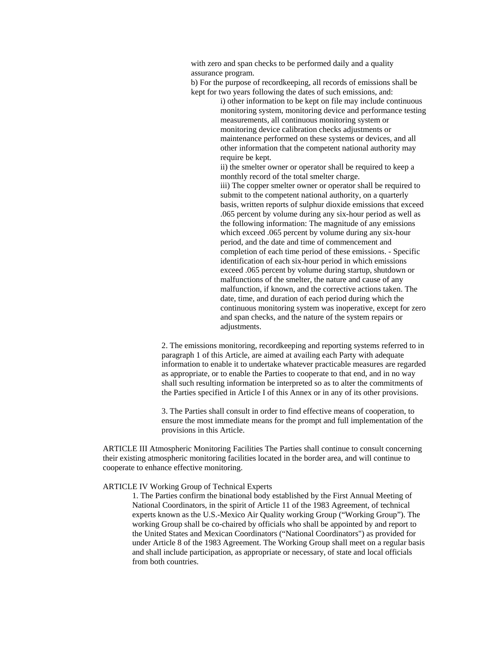with zero and span checks to be performed daily and a quality assurance program.

b) For the purpose of recordkeeping, all records of emissions shall be kept for two years following the dates of such emissions, and:

> i) other information to be kept on file may include continuous monitoring system, monitoring device and performance testing measurements, all continuous monitoring system or monitoring device calibration checks adjustments or maintenance performed on these systems or devices, and all other information that the competent national authority may require be kept.

ii) the smelter owner or operator shall be required to keep a monthly record of the total smelter charge.

iii) The copper smelter owner or operator shall be required to submit to the competent national authority, on a quarterly basis, written reports of sulphur dioxide emissions that exceed .065 percent by volume during any six-hour period as well as the following information: The magnitude of any emissions which exceed .065 percent by volume during any six-hour period, and the date and time of commencement and completion of each time period of these emissions. - Specific identification of each six-hour period in which emissions exceed .065 percent by volume during startup, shutdown or malfunctions of the smelter, the nature and cause of any malfunction, if known, and the corrective actions taken. The date, time, and duration of each period during which the continuous monitoring system was inoperative, except for zero and span checks, and the nature of the system repairs or adjustments.

2. The emissions monitoring, recordkeeping and reporting systems referred to in paragraph 1 of this Article, are aimed at availing each Party with adequate information to enable it to undertake whatever practicable measures are regarded as appropriate, or to enable the Parties to cooperate to that end, and in no way shall such resulting information be interpreted so as to alter the commitments of the Parties specified in Article I of this Annex or in any of its other provisions.

3. The Parties shall consult in order to find effective means of cooperation, to ensure the most immediate means for the prompt and full implementation of the provisions in this Article.

ARTICLE III Atmospheric Monitoring Facilities The Parties shall continue to consult concerning their existing atmospheric monitoring facilities located in the border area, and will continue to cooperate to enhance effective monitoring.

## ARTICLE IV Working Group of Technical Experts

1. The Parties confirm the binational body established by the First Annual Meeting of National Coordinators, in the spirit of Article 11 of the 1983 Agreement, of technical experts known as the U.S.-Mexico Air Quality working Group ("Working Group"). The working Group shall be co-chaired by officials who shall be appointed by and report to the United States and Mexican Coordinators ("National Coordinators") as provided for under Article 8 of the 1983 Agreement. The Working Group shall meet on a regular basis and shall include participation, as appropriate or necessary, of state and local officials from both countries.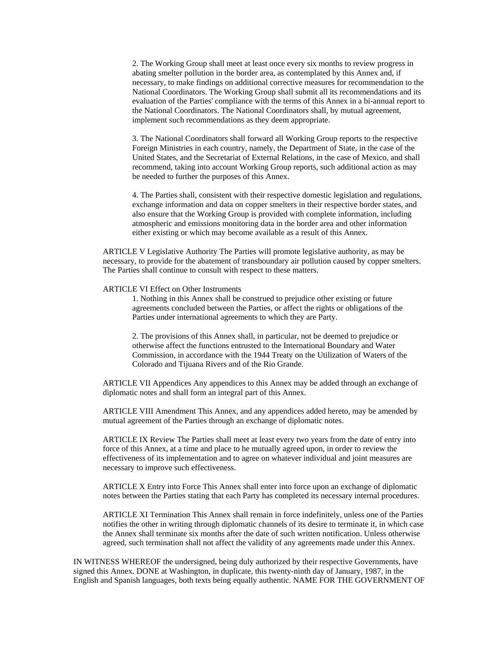2. The Working Group shall meet at least once every six months to review progress in abating smelter pollution in the border area, as contemplated by this Annex and, if necessary, to make findings on additional corrective measures for recommendation to the National Coordinators. The Working Group shall submit all its recommendations and its evaluation of the Parties' compliance with the terms of this Annex in a bi-annual report to the National Coordinators. The National Coordinators shall, by mutual agreement, implement such recommendations as they deem appropriate.

3. The National Coordinators shall forward all Working Group reports to the respective Foreign Ministries in each country, namely, the Department of State, in the case of the United States, and the Secretariat of External Relations, in the case of Mexico, and shall recommend, taking into account Working Group reports, such additional action as may be needed to further the purposes of this Annex.

4. The Parties shall, consistent with their respective domestic legislation and regulations, exchange information and data on copper smelters in their respective border states, and also ensure that the Working Group is provided with complete information, including atmospheric and emissions monitoring data in the border area and other information either existing or which may become available as a result of this Annex.

ARTICLE V Legislative Authority The Parties will promote legislative authority, as may be necessary, to provide for the abatement of transboundary air pollution caused by copper smelters. The Parties shall continue to consult with respect to these matters.

#### ARTICLE VI Effect on Other Instruments

1. Nothing in this Annex shall be construed to prejudice other existing or future agreements concluded between the Parties, or affect the rights or obligations of the Parties under international agreements to which they are Party.

2. The provisions of this Annex shall, in particular, not be deemed to prejudice or otherwise affect the functions entrusted to the International Boundary and Water Commission, in accordance with the 1944 Treaty on the Utilization of Waters of the Colorado and Tijuana Rivers and of the Rio Grande.

ARTICLE VII Appendices Any appendices to this Annex may be added through an exchange of diplomatic notes and shall form an integral part of this Annex.

ARTICLE VIII Amendment This Annex, and any appendices added hereto, may be amended by mutual agreement of the Parties through an exchange of diplomatic notes.

ARTICLE IX Review The Parties shall meet at least every two years from the date of entry into force of this Annex, at a time and place to he mutually agreed upon, in order to review the effectiveness of its implementation and to agree on whatever individual and joint measures are necessary to improve such effectiveness.

ARTICLE X Entry into Force This Annex shall enter into force upon an exchange of diplomatic notes between the Parties stating that each Party has completed its necessary internal procedures.

ARTICLE XI Termination This Annex shall remain in force indefinitely, unless one of the Parties notifies the other in writing through diplomatic channels of its desire to terminate it, in which case the Annex shall terminate six months after the date of such written notification. Unless otherwise agreed, such termination shall not affect the validity of any agreements made under this Annex.

IN WITNESS WHEREOF the undersigned, being duly authorized by their respective Governments, have signed this Annex. DONE at Washington, in duplicate, this twenty-ninth day of January, 1987, in the English and Spanish languages, both texts being equally authentic. NAME FOR THE GOVERNMENT OF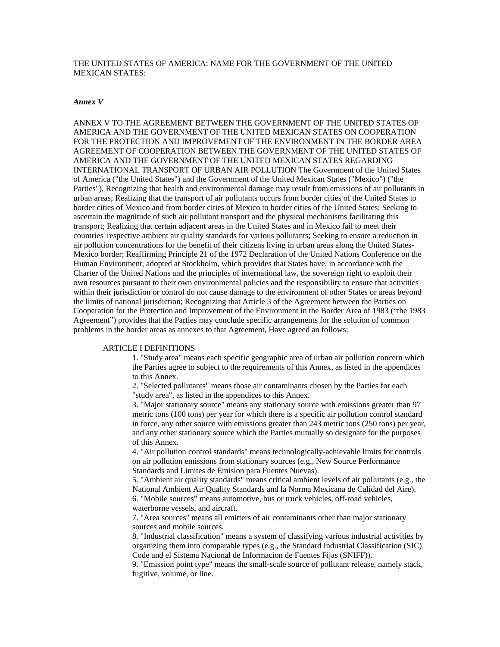# THE UNITED STATES OF AMERICA: NAME FOR THE GOVERNMENT OF THE UNITED MEXICAN STATES:

#### *Annex V*

ANNEX V TO THE AGREEMENT BETWEEN THE GOVERNMENT OF THE UNITED STATES OF AMERICA AND THE GOVERNMENT OF THE UNITED MEXICAN STATES ON COOPERATION FOR THE PROTECTION AND IMPROVEMENT OF THE ENVIRONMENT IN THE BORDER AREA AGREEMENT OF COOPERATION BETWEEN THE GOVERNMENT OF THE UNITED STATES OF AMERICA AND THE GOVERNMENT OF THE UNITED MEXICAN STATES REGARDING INTERNATIONAL TRANSPORT OF URBAN AIR POLLUTION The Government of the United States of America ("the United States") and the Government of the United Mexican States ("Mexico") ("the Parties"), Recognizing that health and environmental damage may result from emissions of air pollutants in urban areas; Realizing that the transport of air pollutants occurs from border cities of the United States to border cities of Mexico and from border cities of Mexico to border cities of the United States; Seeking to ascertain the magnitude of such air pollutant transport and the physical mechanisms facilitating this transport; Realizing that certain adjacent areas in the United States and in Mexico fail to meet their countries' respective ambient air quality standards for various pollutants; Seeking to ensure a reduction in air pollution concentrations for the benefit of their citizens living in urban areas along the United States-Mexico border; Reaffirming Principle 21 of the 1972 Declaration of the United Nations Conference on the Human Environment, adopted at Stockholm, which provides that States have, in accordance with the Charter of the United Nations and the principles of international law, the sovereign right to exploit their own resources pursuant to their own environmental policies and the responsibility to ensure that activities within their jurisdiction or control do not cause damage to the environment of other States or areas beyond the limits of national jurisdiction; Recognizing that Article 3 of the Agreement between the Parties on Cooperation for the Protection and Improvement of the Environment in the Border Area of 1983 ("the 1983 Agreement") provides that the Parties may conclude specific arrangements for the solution of common problems in the border areas as annexes to that Agreement, Have agreed an follows:

# ARTICLE I DEFINITIONS

1. "Study area" means each specific geographic area of urban air pollution concern which the Parties agree to subject to the requirements of this Annex, as listed in the appendices to this Annex.

2. "Selected pollutants" means those air contaminants chosen by the Parties for each "study area", as listed in the appendices to this Annex.

3. "Major stationary source" means any stationary source with emissions greater than 97 metric tons (100 tons) per year for which there is a specific air pollution control standard in force, any other source with emissions greater than 243 metric tons (250 tons) per year, and any other stationary source which the Parties mutually so designate for the purposes of this Annex.

4. "Air pollution control standards" means technologically-achievable limits for controls on air pollution emissions from stationary sources (e.g., New Source Performance Standards and Limites de Emision para Fuentes Nuevas).

5. "Ambient air quality standards" means critical ambient levels of air pollutants (e.g., the National Ambient Air Quality Standards and la Norma Mexicana de Calidad del Aire). 6. "Mobile sources" means automotive, bus or truck vehicles, off-road vehicles, waterborne vessels, and aircraft.

7. "Area sources" means all emitters of air contaminants other than major stationary sources and mobile sources.

8. "Industrial classification" means a system of classifying various industrial activities by organizing them into comparable types (e.g., the Standard Industrial Classification (SIC) Code and el Sistema Nacional de Informacion de Fuentes Fijas (SNIFF)).

9. "Emission point type" means the small-scale source of pollutant release, namely stack, fugitive, volume, or line.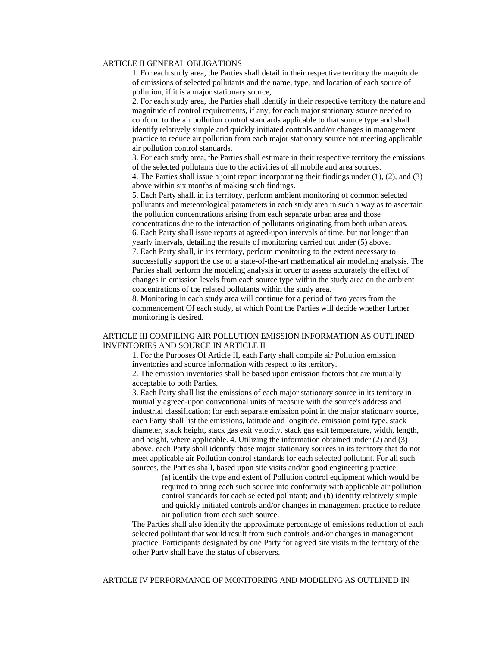## ARTICLE II GENERAL OBLIGATIONS

1. For each study area, the Parties shall detail in their respective territory the magnitude of emissions of selected pollutants and the name, type, and location of each source of pollution, if it is a major stationary source,

2. For each study area, the Parties shall identify in their respective territory the nature and magnitude of control requirements, if any, for each major stationary source needed to conform to the air pollution control standards applicable to that source type and shall identify relatively simple and quickly initiated controls and/or changes in management practice to reduce air pollution from each major stationary source not meeting applicable air pollution control standards.

3. For each study area, the Parties shall estimate in their respective territory the emissions of the selected pollutants due to the activities of all mobile and area sources.

4. The Parties shall issue a joint report incorporating their findings under (1), (2), and (3) above within six months of making such findings.

5. Each Party shall, in its territory, perform ambient monitoring of common selected pollutants and meteorological parameters in each study area in such a way as to ascertain the pollution concentrations arising from each separate urban area and those concentrations due to the interaction of pollutants originating from both urban areas. 6. Each Party shall issue reports at agreed-upon intervals of time, but not longer than

yearly intervals, detailing the results of monitoring carried out under (5) above. 7. Each Party shall, in its territory, perform monitoring to the extent necessary to successfully support the use of a state-of-the-art mathematical air modeling analysis. The

Parties shall perform the modeling analysis in order to assess accurately the effect of changes in emission levels from each source type within the study area on the ambient concentrations of the related pollutants within the study area.

8. Monitoring in each study area will continue for a period of two years from the commencement Of each study, at which Point the Parties will decide whether further monitoring is desired.

## ARTICLE III COMPILING AIR POLLUTION EMISSION INFORMATION AS OUTLINED INVENTORIES AND SOURCE IN ARTICLE II

1. For the Purposes Of Article II, each Party shall compile air Pollution emission inventories and source information with respect to its territory.

2. The emission inventories shall be based upon emission factors that are mutually acceptable to both Parties.

3. Each Party shall list the emissions of each major stationary source in its territory in mutually agreed-upon conventional units of measure with the source's address and industrial classification; for each separate emission point in the major stationary source, each Party shall list the emissions, latitude and longitude, emission point type, stack diameter, stack height, stack gas exit velocity, stack gas exit temperature, width, length, and height, where applicable. 4. Utilizing the information obtained under (2) and (3) above, each Party shall identify those major stationary sources in its territory that do not meet applicable air Pollution control standards for each selected pollutant. For all such sources, the Parties shall, based upon site visits and/or good engineering practice:

> (a) identify the type and extent of Pollution control equipment which would be required to bring each such source into conformity with applicable air pollution control standards for each selected pollutant; and (b) identify relatively simple and quickly initiated controls and/or changes in management practice to reduce air pollution from each such source.

The Parties shall also identify the approximate percentage of emissions reduction of each selected pollutant that would result from such controls and/or changes in management practice. Participants designated by one Party for agreed site visits in the territory of the other Party shall have the status of observers.

## ARTICLE IV PERFORMANCE OF MONITORING AND MODELING AS OUTLINED IN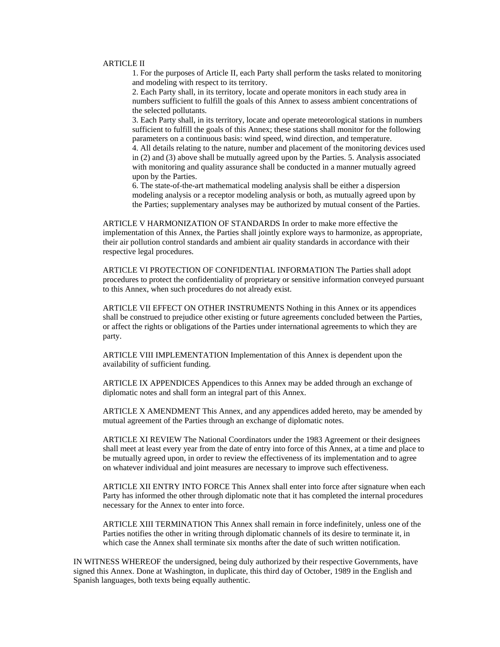## ARTICLE II

1. For the purposes of Article II, each Party shall perform the tasks related to monitoring and modeling with respect to its territory.

2. Each Party shall, in its territory, locate and operate monitors in each study area in numbers sufficient to fulfill the goals of this Annex to assess ambient concentrations of the selected pollutants.

3. Each Party shall, in its territory, locate and operate meteorological stations in numbers sufficient to fulfill the goals of this Annex; these stations shall monitor for the following parameters on a continuous basis: wind speed, wind direction, and temperature.

4. All details relating to the nature, number and placement of the monitoring devices used in (2) and (3) above shall be mutually agreed upon by the Parties. 5. Analysis associated with monitoring and quality assurance shall be conducted in a manner mutually agreed upon by the Parties.

6. The state-of-the-art mathematical modeling analysis shall be either a dispersion modeling analysis or a receptor modeling analysis or both, as mutually agreed upon by the Parties; supplementary analyses may be authorized by mutual consent of the Parties.

ARTICLE V HARMONIZATION OF STANDARDS In order to make more effective the implementation of this Annex, the Parties shall jointly explore ways to harmonize, as appropriate, their air pollution control standards and ambient air quality standards in accordance with their respective legal procedures.

ARTICLE VI PROTECTION OF CONFIDENTIAL INFORMATION The Parties shall adopt procedures to protect the confidentiality of proprietary or sensitive information conveyed pursuant to this Annex, when such procedures do not already exist.

ARTICLE VII EFFECT ON OTHER INSTRUMENTS Nothing in this Annex or its appendices shall be construed to prejudice other existing or future agreements concluded between the Parties, or affect the rights or obligations of the Parties under international agreements to which they are party.

ARTICLE VIII IMPLEMENTATION Implementation of this Annex is dependent upon the availability of sufficient funding.

ARTICLE IX APPENDICES Appendices to this Annex may be added through an exchange of diplomatic notes and shall form an integral part of this Annex.

ARTICLE X AMENDMENT This Annex, and any appendices added hereto, may be amended by mutual agreement of the Parties through an exchange of diplomatic notes.

ARTICLE XI REVIEW The National Coordinators under the 1983 Agreement or their designees shall meet at least every year from the date of entry into force of this Annex, at a time and place to be mutually agreed upon, in order to review the effectiveness of its implementation and to agree on whatever individual and joint measures are necessary to improve such effectiveness.

ARTICLE XII ENTRY INTO FORCE This Annex shall enter into force after signature when each Party has informed the other through diplomatic note that it has completed the internal procedures necessary for the Annex to enter into force.

ARTICLE XIII TERMINATION This Annex shall remain in force indefinitely, unless one of the Parties notifies the other in writing through diplomatic channels of its desire to terminate it, in which case the Annex shall terminate six months after the date of such written notification.

IN WITNESS WHEREOF the undersigned, being duly authorized by their respective Governments, have signed this Annex. Done at Washington, in duplicate, this third day of October, 1989 in the English and Spanish languages, both texts being equally authentic.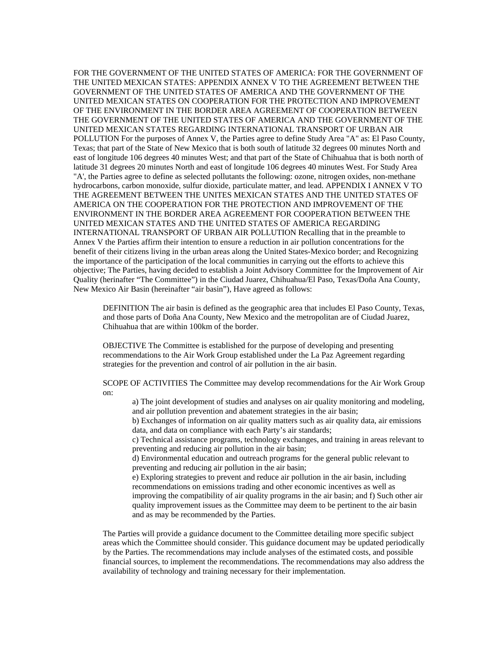FOR THE GOVERNMENT OF THE UNITED STATES OF AMERICA: FOR THE GOVERNMENT OF THE UNITED MEXICAN STATES: APPENDIX ANNEX V TO THE AGREEMENT BETWEEN THE GOVERNMENT OF THE UNITED STATES OF AMERICA AND THE GOVERNMENT OF THE UNITED MEXICAN STATES ON COOPERATION FOR THE PROTECTION AND IMPROVEMENT OF THE ENVIRONMENT IN THE BORDER AREA AGREEMENT OF COOPERATION BETWEEN THE GOVERNMENT OF THE UNITED STATES OF AMERICA AND THE GOVERNMENT OF THE UNITED MEXICAN STATES REGARDING INTERNATIONAL TRANSPORT OF URBAN AIR POLLUTION For the purposes of Annex V, the Parties agree to define Study Area "A" as: El Paso County, Texas; that part of the State of New Mexico that is both south of latitude 32 degrees 00 minutes North and east of longitude 106 degrees 40 minutes West; and that part of the State of Chihuahua that is both north of latitude 31 degrees 20 minutes North and east of longitude 106 degrees 40 minutes West. For Study Area "A', the Parties agree to define as selected pollutants the following: ozone, nitrogen oxides, non-methane hydrocarbons, carbon monoxide, sulfur dioxide, particulate matter, and lead. APPENDIX I ANNEX V TO THE AGREEMENT BETWEEN THE UNITES MEXICAN STATES AND THE UNITED STATES OF AMERICA ON THE COOPERATION FOR THE PROTECTION AND IMPROVEMENT OF THE ENVIRONMENT IN THE BORDER AREA AGREEMENT FOR COOPERATION BETWEEN THE UNITED MEXICAN STATES AND THE UNITED STATES OF AMERICA REGARDING INTERNATIONAL TRANSPORT OF URBAN AIR POLLUTION Recalling that in the preamble to Annex V the Parties affirm their intention to ensure a reduction in air pollution concentrations for the benefit of their citizens living in the urban areas along the United States-Mexico border; and Recognizing the importance of the participation of the local communities in carrying out the efforts to achieve this objective; The Parties, having decided to establish a Joint Advisory Committee for the Improvement of Air Quality (herinafter "The Committee") in the Ciudad Juarez, Chihuahua/El Paso, Texas/Doña Ana County, New Mexico Air Basin (hereinafter "air basin"), Have agreed as follows:

DEFINITION The air basin is defined as the geographic area that includes El Paso County, Texas, and those parts of Doña Ana County, New Mexico and the metropolitan are of Ciudad Juarez, Chihuahua that are within 100km of the border.

OBJECTIVE The Committee is established for the purpose of developing and presenting recommendations to the Air Work Group established under the La Paz Agreement regarding strategies for the prevention and control of air pollution in the air basin.

SCOPE OF ACTIVITIES The Committee may develop recommendations for the Air Work Group on:

a) The joint development of studies and analyses on air quality monitoring and modeling, and air pollution prevention and abatement strategies in the air basin;

b) Exchanges of information on air quality matters such as air quality data, air emissions data, and data on compliance with each Party's air standards;

c) Technical assistance programs, technology exchanges, and training in areas relevant to preventing and reducing air pollution in the air basin;

d) Environmental education and outreach programs for the general public relevant to preventing and reducing air pollution in the air basin;

e) Exploring strategies to prevent and reduce air pollution in the air basin, including recommendations on emissions trading and other economic incentives as well as improving the compatibility of air quality programs in the air basin; and f) Such other air quality improvement issues as the Committee may deem to be pertinent to the air basin and as may be recommended by the Parties.

The Parties will provide a guidance document to the Committee detailing more specific subject areas which the Committee should consider. This guidance document may be updated periodically by the Parties. The recommendations may include analyses of the estimated costs, and possible financial sources, to implement the recommendations. The recommendations may also address the availability of technology and training necessary for their implementation.